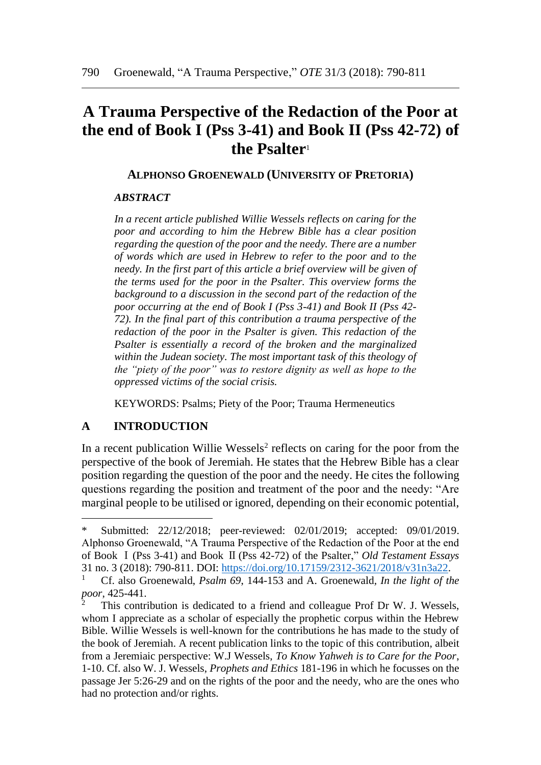# **A Trauma Perspective of the Redaction of the Poor at the end of Book I (Pss 3-41) and Book II (Pss 42-72) of the Psalter**<sup>1</sup>

#### **ALPHONSO GROENEWALD (UNIVERSITY OF PRETORIA)**

### *ABSTRACT*

*In a recent article published Willie Wessels reflects on caring for the poor and according to him the Hebrew Bible has a clear position regarding the question of the poor and the needy. There are a number of words which are used in Hebrew to refer to the poor and to the needy. In the first part of this article a brief overview will be given of the terms used for the poor in the Psalter. This overview forms the background to a discussion in the second part of the redaction of the poor occurring at the end of Book I (Pss 3-41) and Book II (Pss 42- 72). In the final part of this contribution a trauma perspective of the redaction of the poor in the Psalter is given. This redaction of the Psalter is essentially a record of the broken and the marginalized within the Judean society. The most important task of this theology of the "piety of the poor" was to restore dignity as well as hope to the oppressed victims of the social crisis.*

KEYWORDS: Psalms; Piety of the Poor; Trauma Hermeneutics

## **A INTRODUCTION**

 $\overline{a}$ 

In a recent publication Willie Wessels<sup>2</sup> reflects on caring for the poor from the perspective of the book of Jeremiah. He states that the Hebrew Bible has a clear position regarding the question of the poor and the needy. He cites the following questions regarding the position and treatment of the poor and the needy: "Are marginal people to be utilised or ignored, depending on their economic potential,

Submitted: 22/12/2018; peer-reviewed: 02/01/2019; accepted: 09/01/2019. Alphonso Groenewald, "A Trauma Perspective of the Redaction of the Poor at the end of Book Ⅰ(Pss 3-41) and Book Ⅱ(Pss 42-72) of the Psalter," *Old Testament Essays* 31 no. 3 (2018): 790-811. DOI: [https://doi.org/10.17159/2312-3621/2018/v31n3a22.](https://doi.org/10.17159/2312-3621/2018/v31n3a22)

<sup>1</sup> Cf. also Groenewald, *Psalm 69*, 144-153 and A. Groenewald*, In the light of the poor*, 425-441.

This contribution is dedicated to a friend and colleague Prof Dr W. J. Wessels, whom I appreciate as a scholar of especially the prophetic corpus within the Hebrew Bible. Willie Wessels is well-known for the contributions he has made to the study of the book of Jeremiah. A recent publication links to the topic of this contribution, albeit from a Jeremiaic perspective: W.J Wessels, *To Know Yahweh is to Care for the Poor*, 1-10. Cf. also W. J. Wessels, *Prophets and Ethics* 181-196 in which he focusses on the passage Jer 5:26-29 and on the rights of the poor and the needy, who are the ones who had no protection and/or rights.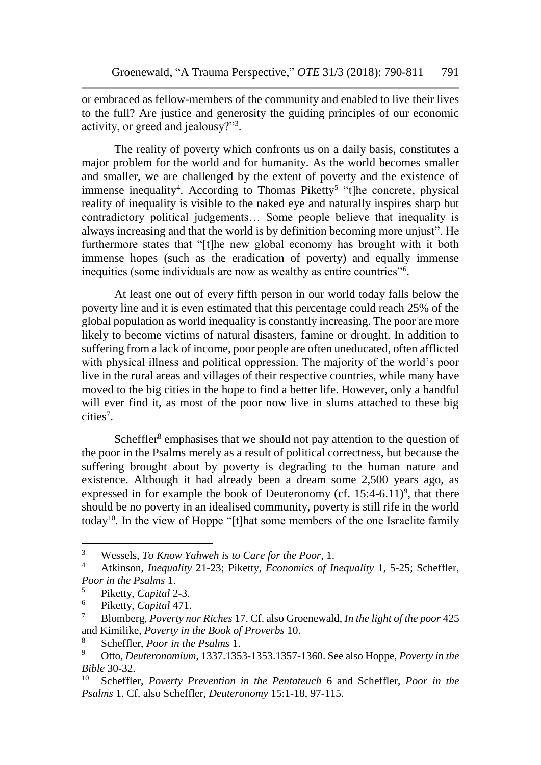or embraced as fellow-members of the community and enabled to live their lives to the full? Are justice and generosity the guiding principles of our economic activity, or greed and jealousy?"<sup>3</sup> .

The reality of poverty which confronts us on a daily basis, constitutes a major problem for the world and for humanity. As the world becomes smaller and smaller, we are challenged by the extent of poverty and the existence of immense inequality<sup>4</sup>. According to Thomas Piketty<sup>5</sup> "t]he concrete, physical reality of inequality is visible to the naked eye and naturally inspires sharp but contradictory political judgements… Some people believe that inequality is always increasing and that the world is by definition becoming more unjust". He furthermore states that "[t]he new global economy has brought with it both immense hopes (such as the eradication of poverty) and equally immense inequities (some individuals are now as wealthy as entire countries"<sup>6</sup> .

At least one out of every fifth person in our world today falls below the poverty line and it is even estimated that this percentage could reach 25% of the global population as world inequality is constantly increasing. The poor are more likely to become victims of natural disasters, famine or drought. In addition to suffering from a lack of income, poor people are often uneducated, often afflicted with physical illness and political oppression. The majority of the world's poor live in the rural areas and villages of their respective countries, while many have moved to the big cities in the hope to find a better life. However, only a handful will ever find it, as most of the poor now live in slums attached to these big cities<sup>7</sup>.

Scheffler<sup>8</sup> emphasises that we should not pay attention to the question of the poor in the Psalms merely as a result of political correctness, but because the suffering brought about by poverty is degrading to the human nature and existence. Although it had already been a dream some 2,500 years ago, as expressed in for example the book of Deuteronomy (cf.  $15:4-6.11$ <sup>9</sup>, that there should be no poverty in an idealised community, poverty is still rife in the world today<sup>10</sup>. In the view of Hoppe "[t]hat some members of the one Israelite family

<sup>3</sup> Wessels, *To Know Yahweh is to Care for the Poor*, 1.

<sup>4</sup> Atkinson, *Inequality* 21-23; Piketty, *Economics of Inequality* 1, 5-25; Scheffler, *Poor in the Psalms* 1.

<sup>5</sup> Piketty, *Capital* 2-3.

<sup>6</sup> Piketty, *Capital* 471.

<sup>7</sup> Blomberg, *Poverty nor Riches* 17. Cf. also Groenewald, *In the light of the poor* 425 and Kimilike, *Poverty in the Book of Proverbs* 10.

<sup>8</sup> Scheffler, *Poor in the Psalms* 1.

<sup>9</sup> Otto, *Deuteronomium*, 1337.1353-1353.1357-1360. See also Hoppe, *Poverty in the Bible* 30-32.

<sup>10</sup> Scheffler, *Poverty Prevention in the Pentateuch* 6 and Scheffler, *Poor in the Psalms* 1. Cf. also Scheffler, *Deuteronomy* 15:1-18, 97-115.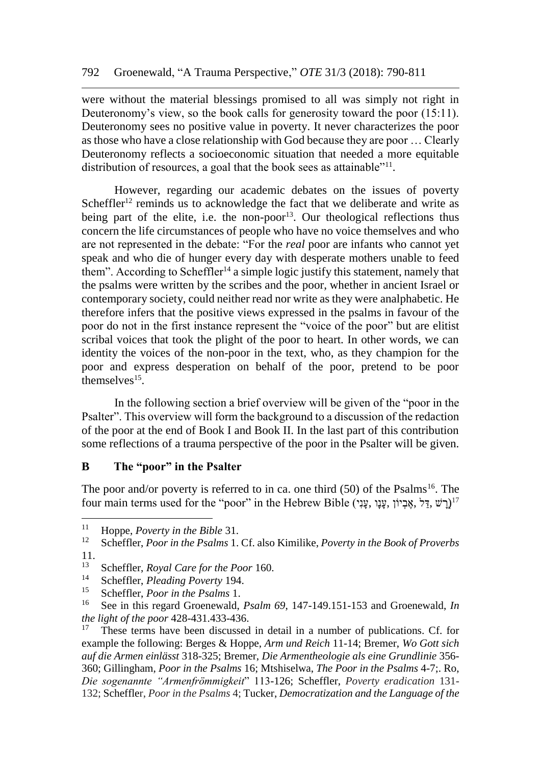were without the material blessings promised to all was simply not right in Deuteronomy's view, so the book calls for generosity toward the poor (15:11). Deuteronomy sees no positive value in poverty. It never characterizes the poor as those who have a close relationship with God because they are poor … Clearly Deuteronomy reflects a socioeconomic situation that needed a more equitable distribution of resources, a goal that the book sees as attainable"<sup>11</sup>.

However, regarding our academic debates on the issues of poverty Scheffler<sup>12</sup> reminds us to acknowledge the fact that we deliberate and write as being part of the elite, i.e. the non-poor<sup>13</sup>. Our theological reflections thus concern the life circumstances of people who have no voice themselves and who are not represented in the debate: "For the *real* poor are infants who cannot yet speak and who die of hunger every day with desperate mothers unable to feed them". According to Scheffler<sup>14</sup> a simple logic justify this statement, namely that the psalms were written by the scribes and the poor, whether in ancient Israel or contemporary society, could neither read nor write as they were analphabetic. He therefore infers that the positive views expressed in the psalms in favour of the poor do not in the first instance represent the "voice of the poor" but are elitist scribal voices that took the plight of the poor to heart. In other words, we can identity the voices of the non-poor in the text, who, as they champion for the poor and express desperation on behalf of the poor, pretend to be poor themselves<sup>15</sup>.

In the following section a brief overview will be given of the "poor in the Psalter". This overview will form the background to a discussion of the redaction of the poor at the end of Book I and Book II. In the last part of this contribution some reflections of a trauma perspective of the poor in the Psalter will be given.

## **B The "poor" in the Psalter**

The poor and/or poverty is referred to in ca. one third  $(50)$  of the Psalms<sup>16</sup>. The  $\pmod{2}$ ין אֶבְיוֹן, אֶבְיוֹן, עֲנָו ,אֱבְיוֹן, אֱבִיוֹן, עֲנָו ,אֱבִיוֹן, אֱבִיוֹן, אֲבִי $\pmod{1}$ 

<sup>&</sup>lt;sup>11</sup> Hoppe, *Poverty in the Bible* 31.<br><sup>12</sup> Schofflor, *Poor in the Psalms* 1.

<sup>12</sup> Scheffler, *Poor in the Psalms* 1. Cf. also Kimilike, *Poverty in the Book of Proverbs* 11.

<sup>13</sup> Scheffler, *Royal Care for the Poor* 160.

<sup>14</sup> Scheffler, *Pleading Poverty* 194.

<sup>&</sup>lt;sup>15</sup> Scheffler, *Poor in the Psalms* 1.

<sup>16</sup> See in this regard Groenewald, *Psalm 69*, 147-149.151-153 and Groenewald, *In the light of the poor* 428-431.433-436.

<sup>17</sup> These terms have been discussed in detail in a number of publications. Cf. for example the following: Berges & Hoppe, *Arm und Reich* 11-14; Bremer, *Wo Gott sich auf die Armen einlässt* 318-325; Bremer, *Die Armentheologie als eine Grundlinie* 356- 360; Gillingham, *Poor in the Psalms* 16; Mtshiselwa, *The Poor in the Psalms* 4-7;. Ro, *Die sogenannte "Armenfrömmigkeit*" 113-126; Scheffler, *Poverty eradication* 131- 132; Scheffler, *Poor in the Psalms* 4; Tucker, *Democratization and the Language of the*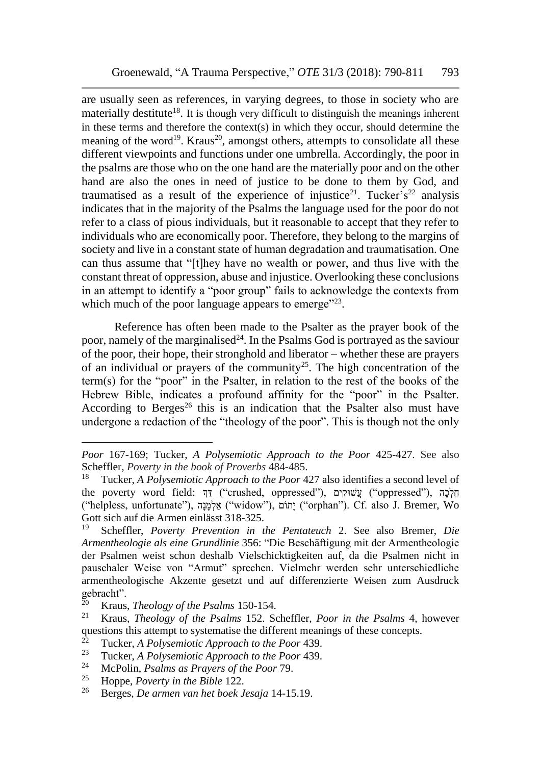are usually seen as references, in varying degrees, to those in society who are materially destitute<sup>18</sup>. It is though very difficult to distinguish the meanings inherent in these terms and therefore the context(s) in which they occur, should determine the meaning of the word<sup>19</sup>. Kraus<sup>20</sup>, amongst others, attempts to consolidate all these different viewpoints and functions under one umbrella. Accordingly, the poor in the psalms are those who on the one hand are the materially poor and on the other hand are also the ones in need of justice to be done to them by God, and traumatised as a result of the experience of injustice<sup>21</sup>. Tucker's<sup>22</sup> analysis indicates that in the majority of the Psalms the language used for the poor do not refer to a class of pious individuals, but it reasonable to accept that they refer to individuals who are economically poor. Therefore, they belong to the margins of society and live in a constant state of human degradation and traumatisation. One can thus assume that "[t]hey have no wealth or power, and thus live with the constant threat of oppression, abuse and injustice. Overlooking these conclusions in an attempt to identify a "poor group" fails to acknowledge the contexts from which much of the poor language appears to emerge $"^{23}$ .

Reference has often been made to the Psalter as the prayer book of the poor, namely of the marginalised<sup>24</sup>. In the Psalms God is portrayed as the saviour of the poor, their hope, their stronghold and liberator – whether these are prayers of an individual or prayers of the community<sup>25</sup>. The high concentration of the term(s) for the "poor" in the Psalter, in relation to the rest of the books of the Hebrew Bible, indicates a profound affinity for the "poor" in the Psalter. According to Berges<sup>26</sup> this is an indication that the Psalter also must have undergone a redaction of the "theology of the poor". This is though not the only

*Poor* 167-169; Tucker, *A Polysemiotic Approach to the Poor* 425-427. See also Scheffler, *Poverty in the book of Proverbs* 484-485.

<sup>18</sup> Tucker, *A Polysemiotic Approach to the Poor* 427 also identifies a second level of the poverty word field: חֵלְכָה ("crushed, oppressed"), עֲשׁוּקִים ("oppressed"), הַ ("helpless, unfortunate"), הָנָמְאלַ") widow"), וםֹתָי") orphan"). Cf. also J. Bremer, Wo Gott sich auf die Armen einlässt 318-325.

<sup>19</sup> Scheffler, *Poverty Prevention in the Pentateuch* 2. See also Bremer, *Die Armentheologie als eine Grundlinie* 356: "Die Beschäftigung mit der Armentheologie der Psalmen weist schon deshalb Vielschicktigkeiten auf, da die Psalmen nicht in pauschaler Weise von "Armut" sprechen. Vielmehr werden sehr unterschiedliche armentheologische Akzente gesetzt und auf differenzierte Weisen zum Ausdruck gebracht".

<sup>&</sup>lt;sup>20</sup> Kraus, *Theology of the Psalms* 150-154.<br><sup>21</sup> Kraus, *Theology of the Psalms* 152, Se

<sup>21</sup> Kraus, *Theology of the Psalms* 152. Scheffler, *Poor in the Psalms* 4, however questions this attempt to systematise the different meanings of these concepts.<br><sup>22</sup> Tucker, A Belyeanistic Approach to the Boor 430

<sup>22</sup> Tucker, *A Polysemiotic Approach to the Poor* 439.

<sup>23</sup> Tucker, *A Polysemiotic Approach to the Poor* 439.

<sup>&</sup>lt;sup>24</sup> McPolin, *Psalms as Prayers of the Poor 79.*<br><sup>25</sup> Hoppe, *Poverty in the Bible* 122

<sup>&</sup>lt;sup>25</sup> Hoppe, *Poverty in the Bible* 122.<br><sup>26</sup> Berges, *De arman van het boek* l

<sup>26</sup> Berges, *De armen van het boek Jesaja* 14-15.19.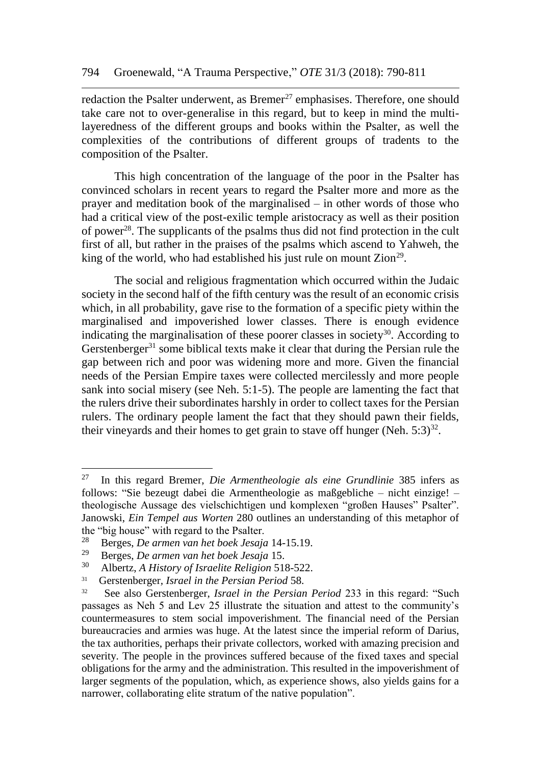redaction the Psalter underwent, as  $B$ remer<sup>27</sup> emphasises. Therefore, one should take care not to over-generalise in this regard, but to keep in mind the multilayeredness of the different groups and books within the Psalter, as well the complexities of the contributions of different groups of tradents to the composition of the Psalter.

This high concentration of the language of the poor in the Psalter has convinced scholars in recent years to regard the Psalter more and more as the prayer and meditation book of the marginalised – in other words of those who had a critical view of the post-exilic temple aristocracy as well as their position of power<sup>28</sup>. The supplicants of the psalms thus did not find protection in the cult first of all, but rather in the praises of the psalms which ascend to Yahweh, the king of the world, who had established his just rule on mount  $Zion^{29}$ .

The social and religious fragmentation which occurred within the Judaic society in the second half of the fifth century was the result of an economic crisis which, in all probability, gave rise to the formation of a specific piety within the marginalised and impoverished lower classes. There is enough evidence indicating the marginalisation of these poorer classes in society<sup>30</sup>. According to Gerstenberger $31$  some biblical texts make it clear that during the Persian rule the gap between rich and poor was widening more and more. Given the financial needs of the Persian Empire taxes were collected mercilessly and more people sank into social misery (see Neh. 5:1-5). The people are lamenting the fact that the rulers drive their subordinates harshly in order to collect taxes for the Persian rulers. The ordinary people lament the fact that they should pawn their fields, their vineyards and their homes to get grain to stave off hunger (Neh.  $5:3$ )<sup>32</sup>.

<sup>27</sup> In this regard Bremer, *Die Armentheologie als eine Grundlinie* 385 infers as follows: "Sie bezeugt dabei die Armentheologie as maßgebliche – nicht einzige! – theologische Aussage des vielschichtigen und komplexen "großen Hauses" Psalter". Janowski, *Ein Tempel aus Worten* 280 outlines an understanding of this metaphor of the "big house" with regard to the Psalter.<br><sup>28</sup> Person, Degrives you het hock Issaid.

<sup>28</sup> Berges, *De armen van het boek Jesaja* 14-15.19.

<sup>29</sup> Berges, *De armen van het boek Jesaja* 15.

<sup>30</sup> Albertz, *A History of Israelite Religion* 518-522.

<sup>31</sup> Gerstenberger*, Israel in the Persian Period* 58.

<sup>32</sup> See also Gerstenberger, *Israel in the Persian Period* 233 in this regard: "Such passages as Neh 5 and Lev 25 illustrate the situation and attest to the community's countermeasures to stem social impoverishment. The financial need of the Persian bureaucracies and armies was huge. At the latest since the imperial reform of Darius, the tax authorities, perhaps their private collectors, worked with amazing precision and severity. The people in the provinces suffered because of the fixed taxes and special obligations for the army and the administration. This resulted in the impoverishment of larger segments of the population, which, as experience shows, also yields gains for a narrower, collaborating elite stratum of the native population".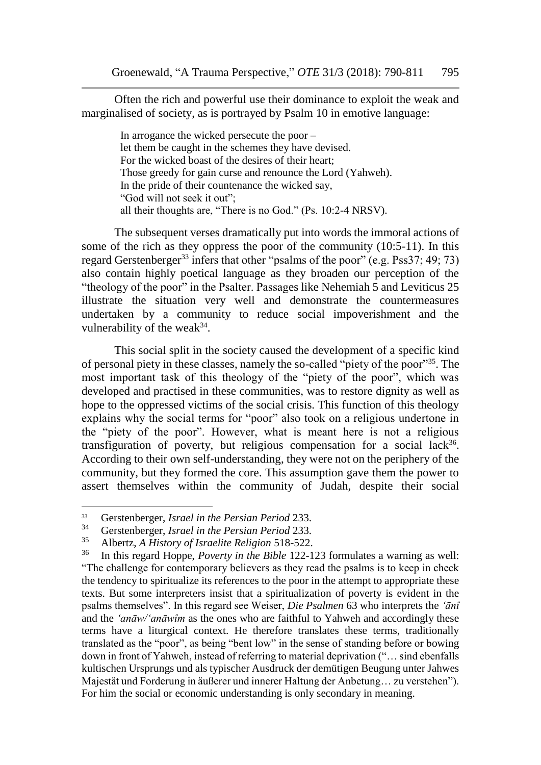Often the rich and powerful use their dominance to exploit the weak and marginalised of society, as is portrayed by Psalm 10 in emotive language:

In arrogance the wicked persecute the poor – let them be caught in the schemes they have devised. For the wicked boast of the desires of their heart; Those greedy for gain curse and renounce the Lord (Yahweh). In the pride of their countenance the wicked say, "God will not seek it out"; all their thoughts are, "There is no God." (Ps. 10:2-4 NRSV).

The subsequent verses dramatically put into words the immoral actions of some of the rich as they oppress the poor of the community (10:5-11). In this regard Gerstenberger<sup>33</sup> infers that other "psalms of the poor" (e.g. Pss37; 49; 73) also contain highly poetical language as they broaden our perception of the "theology of the poor" in the Psalter. Passages like Nehemiah  $\overline{5}$  and Leviticus 25 illustrate the situation very well and demonstrate the countermeasures undertaken by a community to reduce social impoverishment and the vulnerability of the weak $34$ .

This social split in the society caused the development of a specific kind of personal piety in these classes, namely the so-called "piety of the poor"<sup>35</sup>. The most important task of this theology of the "piety of the poor", which was developed and practised in these communities, was to restore dignity as well as hope to the oppressed victims of the social crisis. This function of this theology explains why the social terms for "poor" also took on a religious undertone in the "piety of the poor". However, what is meant here is not a religious transfiguration of poverty, but religious compensation for a social lack<sup>36</sup>. According to their own self-understanding, they were not on the periphery of the community, but they formed the core. This assumption gave them the power to assert themselves within the community of Judah, despite their social

<sup>&</sup>lt;sup>33</sup> Gerstenberger, *Israel in the Persian Period* 233.<br><sup>34</sup> Gerstenberger, *Israel in the Persian Period* 232

<sup>34</sup> Gerstenberger, *Israel in the Persian Period* 233.

<sup>&</sup>lt;sup>35</sup> Albertz, *A History of Israelite Religion* 518-522.<br><sup>36</sup> In this regard Hoppe, *Poverty in the Bible* 122-1

<sup>36</sup> In this regard Hoppe, *Poverty in the Bible* 122-123 formulates a warning as well: "The challenge for contemporary believers as they read the psalms is to keep in check the tendency to spiritualize its references to the poor in the attempt to appropriate these texts. But some interpreters insist that a spiritualization of poverty is evident in the psalms themselves". In this regard see Weiser, *Die Psalmen* 63 who interprets the *'ānî* and the *'anāw/'anāwîm* as the ones who are faithful to Yahweh and accordingly these terms have a liturgical context. He therefore translates these terms, traditionally translated as the "poor", as being "bent low" in the sense of standing before or bowing down in front of Yahweh, instead of referring to material deprivation ("… sind ebenfalls kultischen Ursprungs und als typischer Ausdruck der demütigen Beugung unter Jahwes Majestät und Forderung in äußerer und innerer Haltung der Anbetung… zu verstehen"). For him the social or economic understanding is only secondary in meaning.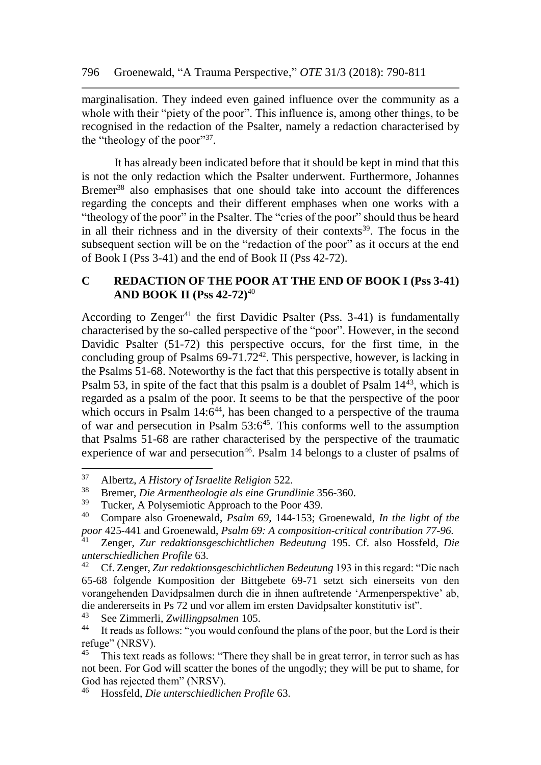marginalisation. They indeed even gained influence over the community as a whole with their "piety of the poor". This influence is, among other things, to be recognised in the redaction of the Psalter, namely a redaction characterised by the "theology of the poor"<sup>37</sup>.

It has already been indicated before that it should be kept in mind that this is not the only redaction which the Psalter underwent. Furthermore, Johannes Bremer<sup>38</sup> also emphasises that one should take into account the differences regarding the concepts and their different emphases when one works with a "theology of the poor" in the Psalter. The "cries of the poor" should thus be heard in all their richness and in the diversity of their contexts<sup>39</sup>. The focus in the subsequent section will be on the "redaction of the poor" as it occurs at the end of Book I (Pss 3-41) and the end of Book II (Pss 42-72).

#### **C REDACTION OF THE POOR AT THE END OF BOOK I (Pss 3-41) AND BOOK II (Pss 42-72)**<sup>40</sup>

According to Zenger<sup>41</sup> the first Davidic Psalter (Pss.  $3-41$ ) is fundamentally characterised by the so-called perspective of the "poor". However, in the second Davidic Psalter (51-72) this perspective occurs, for the first time, in the concluding group of Psalms  $69-71.72^{42}$ . This perspective, however, is lacking in the Psalms 51-68. Noteworthy is the fact that this perspective is totally absent in Psalm 53, in spite of the fact that this psalm is a doublet of Psalm 14<sup>43</sup>, which is regarded as a psalm of the poor. It seems to be that the perspective of the poor which occurs in Psalm  $14:6^{44}$ , has been changed to a perspective of the trauma of war and persecution in Psalm  $53:6^{45}$ . This conforms well to the assumption that Psalms 51-68 are rather characterised by the perspective of the traumatic experience of war and persecution<sup>46</sup>. Psalm 14 belongs to a cluster of psalms of

l

<sup>43</sup> See Zimmerli, *Zwillingpsalmen* 105.

<sup>37</sup> Albertz, *A History of Israelite Religion* 522.

<sup>38</sup> Bremer, *Die Armentheologie als eine Grundlinie* 356-360.

 $39$  Tucker, A Polysemiotic Approach to the Poor 439.

<sup>40</sup> Compare also Groenewald, *Psalm 69*, 144-153; Groenewald, *In the light of the poor* 425-441 and Groenewald, *Psalm 69: A composition-critical contribution 77-96.*

<sup>41</sup> Zenger, *Zur redaktionsgeschichtlichen Bedeutung* 195. Cf. also Hossfeld, *Die unterschiedlichen Profile* 63.

<sup>42</sup> Cf. Zenger, *Zur redaktionsgeschichtlichen Bedeutung* 193 in this regard: "Die nach 65-68 folgende Komposition der Bittgebete 69-71 setzt sich einerseits von den vorangehenden Davidpsalmen durch die in ihnen auftretende 'Armenperspektive' ab, die andererseits in Ps 72 und vor allem im ersten Davidpsalter konstitutiv ist".<br><sup>43</sup> See Zimmerli, Zwillingsgalman 105

It reads as follows: "you would confound the plans of the poor, but the Lord is their refuge" (NRSV).

 $45$  This text reads as follows: "There they shall be in great terror, in terror such as has not been. For God will scatter the bones of the ungodly; they will be put to shame, for God has rejected them" (NRSV).

<sup>46</sup> Hossfeld, *Die unterschiedlichen Profile* 63.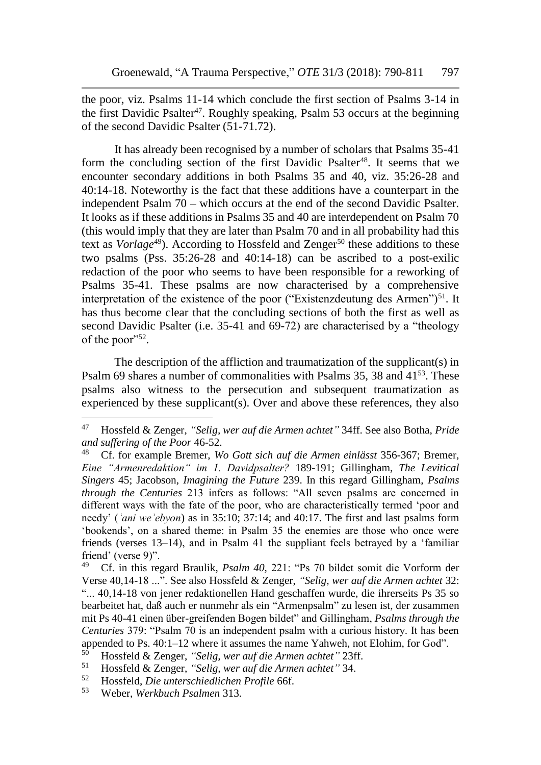the poor, viz. Psalms 11-14 which conclude the first section of Psalms 3-14 in the first Davidic Psalter<sup>47</sup>. Roughly speaking, Psalm 53 occurs at the beginning of the second Davidic Psalter (51-71.72).

It has already been recognised by a number of scholars that Psalms 35-41 form the concluding section of the first Davidic Psalter<sup>48</sup>. It seems that we encounter secondary additions in both Psalms 35 and 40, viz. 35:26-28 and 40:14-18. Noteworthy is the fact that these additions have a counterpart in the independent Psalm 70 – which occurs at the end of the second Davidic Psalter. It looks as if these additions in Psalms 35 and 40 are interdependent on Psalm 70 (this would imply that they are later than Psalm 70 and in all probability had this text as *Vorlage*<sup>49</sup>). According to Hossfeld and Zenger<sup>50</sup> these additions to these two psalms (Pss. 35:26-28 and 40:14-18) can be ascribed to a post-exilic redaction of the poor who seems to have been responsible for a reworking of Psalms 35-41. These psalms are now characterised by a comprehensive interpretation of the existence of the poor ("Existenzdeutung des Armen")<sup>51</sup>. It has thus become clear that the concluding sections of both the first as well as second Davidic Psalter (i.e. 35-41 and 69-72) are characterised by a "theology of the poor"<sup>52</sup>.

The description of the affliction and traumatization of the supplicant(s) in Psalm 69 shares a number of commonalities with Psalms 35, 38 and 41<sup>53</sup>. These psalms also witness to the persecution and subsequent traumatization as experienced by these supplicant(s). Over and above these references, they also

<sup>47</sup> Hossfeld & Zenger, *"Selig, wer auf die Armen achtet"* 34ff. See also Botha, *Pride and suffering of the Poor* 46-52.

<sup>48</sup> Cf. for example Bremer, *Wo Gott sich auf die Armen einlässt* 356-367; Bremer, *Eine "Armenredaktion" im 1. Davidpsalter?* 189-191; Gillingham, *The Levitical Singers* 45; Jacobson, *Imagining the Future* 239. In this regard Gillingham, *Psalms through the Centuries* 213 infers as follows: "All seven psalms are concerned in different ways with the fate of the poor, who are characteristically termed 'poor and needy' (*ʿani weʾebyon*) as in 35:10; 37:14; and 40:17. The first and last psalms form 'bookends', on a shared theme: in Psalm 35 the enemies are those who once were friends (verses 13–14), and in Psalm 41 the suppliant feels betrayed by a 'familiar friend' (verse 9)".

<sup>49</sup> Cf. in this regard Braulik, *Psalm 40,* 221: "Ps 70 bildet somit die Vorform der Verse 40,14-18 ...". See also Hossfeld & Zenger, *"Selig, wer auf die Armen achtet* 32: "... 40,14-18 von jener redaktionellen Hand geschaffen wurde, die ihrerseits Ps 35 so bearbeitet hat, daß auch er nunmehr als ein "Armenpsalm" zu lesen ist, der zusammen mit Ps 40-41 einen über-greifenden Bogen bildet" and Gillingham, *Psalms through the Centuries* 379: "Psalm 70 is an independent psalm with a curious history. It has been appended to Ps. 40:1–12 where it assumes the name Yahweh, not Elohim, for God".

<sup>50</sup> Hossfeld & Zenger, *"Selig, wer auf die Armen achtet"* 23ff.

<sup>51</sup> Hossfeld & Zenger, *"Selig, wer auf die Armen achtet"* 34.

<sup>52</sup> Hossfeld, *Die unterschiedlichen Profile* 66f.

<sup>53</sup> Weber, *Werkbuch Psalmen* 313.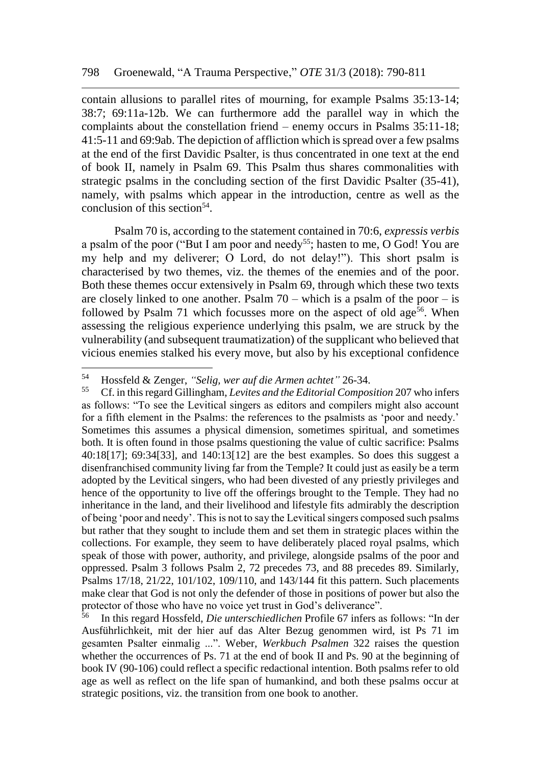contain allusions to parallel rites of mourning, for example Psalms 35:13-14; 38:7; 69:11a-12b. We can furthermore add the parallel way in which the complaints about the constellation friend – enemy occurs in Psalms 35:11-18; 41:5-11 and 69:9ab. The depiction of affliction which is spread over a few psalms at the end of the first Davidic Psalter, is thus concentrated in one text at the end of book II, namely in Psalm 69. This Psalm thus shares commonalities with strategic psalms in the concluding section of the first Davidic Psalter (35-41), namely, with psalms which appear in the introduction, centre as well as the conclusion of this section<sup>54</sup>.

Psalm 70 is, according to the statement contained in 70:6, *expressis verbis* a psalm of the poor ("But I am poor and needy<sup>55</sup>; hasten to me, O God! You are my help and my deliverer; O Lord, do not delay!"). This short psalm is characterised by two themes, viz. the themes of the enemies and of the poor. Both these themes occur extensively in Psalm 69, through which these two texts are closely linked to one another. Psalm  $70 -$  which is a psalm of the poor  $-$  is followed by Psalm 71 which focusses more on the aspect of old  $age^{56}$ . When assessing the religious experience underlying this psalm, we are struck by the vulnerability (and subsequent traumatization) of the supplicant who believed that vicious enemies stalked his every move, but also by his exceptional confidence

<sup>54</sup> Hossfeld & Zenger, *"Selig, wer auf die Armen achtet"* 26-34.

<sup>55</sup> Cf. in this regard Gillingham, *Levites and the Editorial Composition* 207 who infers as follows: "To see the Levitical singers as editors and compilers might also account for a fifth element in the Psalms: the references to the psalmists as 'poor and needy.' Sometimes this assumes a physical dimension, sometimes spiritual, and sometimes both. It is often found in those psalms questioning the value of cultic sacrifice: Psalms 40:18[17]; 69:34[33], and 140:13[12] are the best examples. So does this suggest a disenfranchised community living far from the Temple? It could just as easily be a term adopted by the Levitical singers, who had been divested of any priestly privileges and hence of the opportunity to live off the offerings brought to the Temple. They had no inheritance in the land, and their livelihood and lifestyle fits admirably the description of being 'poor and needy'. This is not to say the Levitical singers composed such psalms but rather that they sought to include them and set them in strategic places within the collections. For example, they seem to have deliberately placed royal psalms, which speak of those with power, authority, and privilege, alongside psalms of the poor and oppressed. Psalm 3 follows Psalm 2, 72 precedes 73, and 88 precedes 89. Similarly, Psalms 17/18, 21/22, 101/102, 109/110, and 143/144 fit this pattern. Such placements make clear that God is not only the defender of those in positions of power but also the protector of those who have no voice yet trust in God's deliverance".<br><sup>56</sup> In this regard Hossfeld, Die unterschiedlichen Profile 67 infers a

<sup>56</sup> In this regard Hossfeld, *Die unterschiedlichen* Profile 67 infers as follows: "In der Ausführlichkeit, mit der hier auf das Alter Bezug genommen wird, ist Ps 71 im gesamten Psalter einmalig ...". Weber, *Werkbuch Psalmen* 322 raises the question whether the occurrences of Ps. 71 at the end of book II and Ps. 90 at the beginning of book IV (90-106) could reflect a specific redactional intention. Both psalms refer to old age as well as reflect on the life span of humankind, and both these psalms occur at strategic positions, viz. the transition from one book to another.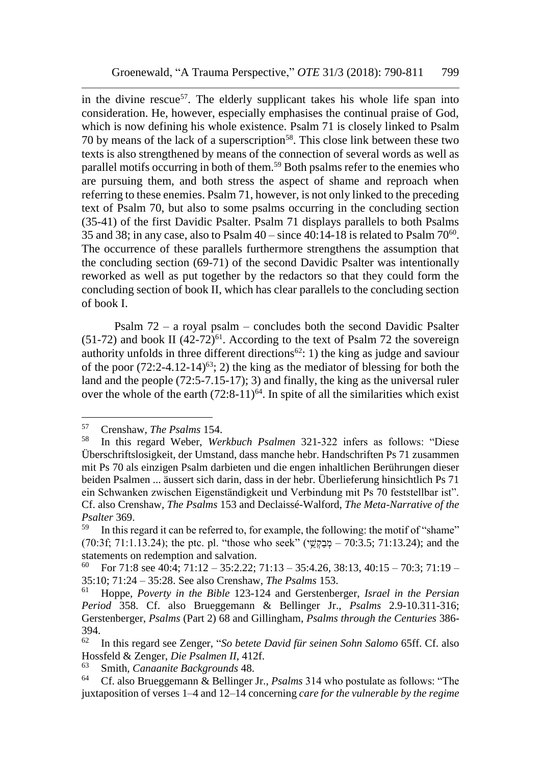in the divine rescue<sup>57</sup>. The elderly supplicant takes his whole life span into consideration. He, however, especially emphasises the continual praise of God, which is now defining his whole existence. Psalm 71 is closely linked to Psalm 70 by means of the lack of a superscription<sup>58</sup>. This close link between these two texts is also strengthened by means of the connection of several words as well as parallel motifs occurring in both of them.<sup>59</sup> Both psalms refer to the enemies who are pursuing them, and both stress the aspect of shame and reproach when referring to these enemies. Psalm 71, however, is not only linked to the preceding text of Psalm 70, but also to some psalms occurring in the concluding section (35-41) of the first Davidic Psalter. Psalm 71 displays parallels to both Psalms 35 and 38; in any case, also to Psalm  $40 -$  since  $40:14-18$  is related to Psalm  $70^{60}$ . The occurrence of these parallels furthermore strengthens the assumption that the concluding section (69-71) of the second Davidic Psalter was intentionally reworked as well as put together by the redactors so that they could form the concluding section of book II, which has clear parallels to the concluding section of book I.

Psalm 72 – a royal psalm – concludes both the second Davidic Psalter (51-72) and book II  $(42-72)^{61}$ . According to the text of Psalm 72 the sovereign authority unfolds in three different directions<sup>62</sup>: 1) the king as judge and saviour of the poor  $(72.2-4.12-14)^{63}$ ; 2) the king as the mediator of blessing for both the land and the people (72:5-7.15-17); 3) and finally, the king as the universal ruler over the whole of the earth  $(72.8-11)^{64}$ . In spite of all the similarities which exist

<sup>&</sup>lt;sup>57</sup> Crenshaw, *The Psalms* 154.<br><sup>58</sup> In this regard Weber, *We* 

<sup>58</sup> In this regard Weber, *Werkbuch Psalmen* 321-322 infers as follows: "Diese Überschriftslosigkeit, der Umstand, dass manche hebr. Handschriften Ps 71 zusammen mit Ps 70 als einzigen Psalm darbieten und die engen inhaltlichen Berührungen dieser beiden Psalmen ... äussert sich darin, dass in der hebr. Überlieferung hinsichtlich Ps 71 ein Schwanken zwischen Eigenständigkeit und Verbindung mit Ps 70 feststellbar ist". Cf. also Crenshaw, *The Psalms* 153 and Declaissé-Walford, *The Meta-Narrative of the Psalter* 369.

<sup>&</sup>lt;sup>59</sup> In this regard it can be referred to, for example, the following: the motif of "shame"  $(70:3f; 71:1.13.24)$ ; the ptc. pl. "those who seek" (הבק $\check{w}$  –  $70:3.5$ ;  $71:13.24$ ); and the statements on redemption and salvation.<br> $^{60}$  Eor 71:8 see 40:4: 71:12 35:2.22:

<sup>60</sup> For 71:8 see 40:4; 71:12 – 35:2.22; 71:13 – 35:4.26, 38:13, 40:15 – 70:3; 71:19 – 35:10; 71:24 – 35:28. See also Crenshaw, *The Psalms* 153.

<sup>61</sup> Hoppe, *Poverty in the Bible* 123-124 and Gerstenberger, *Israel in the Persian Period* 358. Cf. also Brueggemann & Bellinger Jr., *Psalms* 2.9-10.311-316; Gerstenberger, *Psalms* (Part 2) 68 and Gillingham, *Psalms through the Centuries* 386- 394.

<sup>62</sup> In this regard see Zenger, "*So betete David für seinen Sohn Salomo* 65ff. Cf. also Hossfeld & Zenger, *Die Psalmen II,* 412f.

<sup>63</sup> Smith, *Canaanite Backgrounds* 48.

<sup>64</sup> Cf. also Brueggemann & Bellinger Jr., *Psalms* 314 who postulate as follows: "The juxtaposition of verses 1–4 and 12–14 concerning *care for the vulnerable by the regime*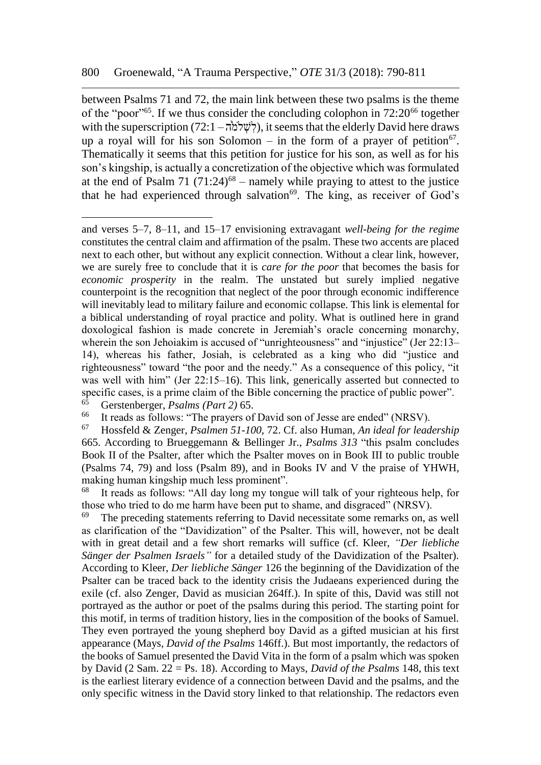between Psalms 71 and 72, the main link between these two psalms is the theme of the "poor"<sup>65</sup>. If we thus consider the concluding colophon in  $72:20^{66}$  together with the superscription (72:1 – לְשֶׁלֹמֹּה), it seems that the elderly David here draws up a royal will for his son Solomon – in the form of a prayer of petition<sup>67</sup>. Thematically it seems that this petition for justice for his son, as well as for his son's kingship, is actually a concretization of the objective which was formulated at the end of Psalm 71 (71:24)<sup>68</sup> – namely while praying to attest to the justice that he had experienced through salvation<sup>69</sup>. The king, as receiver of God's

and verses 5–7, 8–11, and 15–17 envisioning extravagant *well-being for the regime* constitutes the central claim and affirmation of the psalm. These two accents are placed next to each other, but without any explicit connection. Without a clear link, however, we are surely free to conclude that it is *care for the poor* that becomes the basis for *economic prosperity* in the realm. The unstated but surely implied negative counterpoint is the recognition that neglect of the poor through economic indifference will inevitably lead to military failure and economic collapse. This link is elemental for a biblical understanding of royal practice and polity. What is outlined here in grand doxological fashion is made concrete in Jeremiah's oracle concerning monarchy, wherein the son Jehoiakim is accused of "unrighteousness" and "injustice" (Jer 22:13– 14), whereas his father, Josiah, is celebrated as a king who did "justice and righteousness" toward "the poor and the needy." As a consequence of this policy, "it was well with him" (Jer 22:15–16). This link, generically asserted but connected to specific cases, is a prime claim of the Bible concerning the practice of public power".

<sup>65</sup> Gerstenberger, *Psalms (Part 2)* 65.

It reads as follows: "The prayers of David son of Jesse are ended" (NRSV).

<sup>67</sup> Hossfeld & Zenger, *Psalmen 51-100*, 72. Cf. also Human, *An ideal for leadership* 665. According to Brueggemann & Bellinger Jr., *Psalms 313* "this psalm concludes Book II of the Psalter, after which the Psalter moves on in Book III to public trouble (Psalms 74, 79) and loss (Psalm 89), and in Books IV and V the praise of YHWH, making human kingship much less prominent".<br><sup>68</sup> It reads as follows: "All day long my tong

It reads as follows: "All day long my tongue will talk of your righteous help, for those who tried to do me harm have been put to shame, and disgraced" (NRSV).<br><sup>69</sup> The preceding statements referring to David peoples that come remarks on a

The preceding statements referring to David necessitate some remarks on, as well as clarification of the "Davidization" of the Psalter. This will, however, not be dealt with in great detail and a few short remarks will suffice (cf. Kleer, *"Der liebliche Sänger der Psalmen Israels"* for a detailed study of the Davidization of the Psalter). According to Kleer, *Der liebliche Sänger* 126 the beginning of the Davidization of the Psalter can be traced back to the identity crisis the Judaeans experienced during the exile (cf. also Zenger, David as musician 264ff.). In spite of this, David was still not portrayed as the author or poet of the psalms during this period. The starting point for this motif, in terms of tradition history, lies in the composition of the books of Samuel. They even portrayed the young shepherd boy David as a gifted musician at his first appearance (Mays*, David of the Psalms* 146ff.). But most importantly, the redactors of the books of Samuel presented the David Vita in the form of a psalm which was spoken by David (2 Sam. 22 = Ps. 18). According to Mays, *David of the Psalms* 148, this text is the earliest literary evidence of a connection between David and the psalms, and the only specific witness in the David story linked to that relationship. The redactors even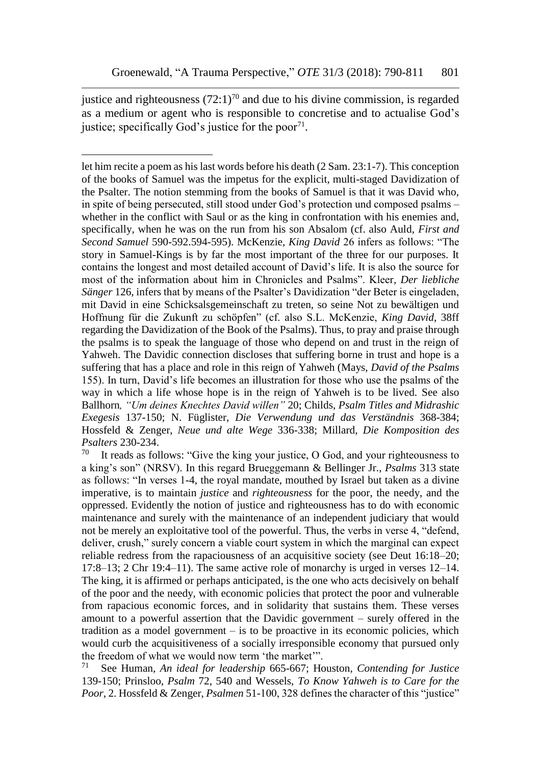justice and righteousness  $(72:1)^{70}$  and due to his divine commission, is regarded as a medium or agent who is responsible to concretise and to actualise God's justice; specifically God's justice for the poor $71$ .

let him recite a poem as his last words before his death (2 Sam. 23:1-7). This conception of the books of Samuel was the impetus for the explicit, multi-staged Davidization of the Psalter. The notion stemming from the books of Samuel is that it was David who, in spite of being persecuted, still stood under God's protection und composed psalms – whether in the conflict with Saul or as the king in confrontation with his enemies and, specifically, when he was on the run from his son Absalom (cf. also Auld, *First and Second Samuel* 590-592.594-595). McKenzie, *King David* 26 infers as follows: "The story in Samuel-Kings is by far the most important of the three for our purposes. It contains the longest and most detailed account of David's life. It is also the source for most of the information about him in Chronicles and Psalms". Kleer*, Der liebliche Sänger* 126, infers that by means of the Psalter's Davidization "der Beter is eingeladen, mit David in eine Schicksalsgemeinschaft zu treten, so seine Not zu bewältigen und Hoffnung für die Zukunft zu schöpfen" (cf. also S.L. McKenzie, *King David*, 38ff regarding the Davidization of the Book of the Psalms). Thus, to pray and praise through the psalms is to speak the language of those who depend on and trust in the reign of Yahweh. The Davidic connection discloses that suffering borne in trust and hope is a suffering that has a place and role in this reign of Yahweh (Mays, *David of the Psalms* 155). In turn, David's life becomes an illustration for those who use the psalms of the way in which a life whose hope is in the reign of Yahweh is to be lived. See also Ballhorn*, "Um deines Knechtes David willen"* 20; Childs, *Psalm Titles and Midrashic Exegesis* 137-150; N. Füglister, *Die Verwendung und das Verständnis* 368-384; Hossfeld & Zenger, *Neue und alte Wege* 336-338; Millard*, Die Komposition des Psalters* 230-234.<br><sup>70</sup> It reads as fol

It reads as follows: "Give the king your justice, O God, and your righteousness to a king's son" (NRSV). In this regard Brueggemann & Bellinger Jr., *Psalms* 313 state as follows: "In verses 1-4, the royal mandate, mouthed by Israel but taken as a divine imperative, is to maintain *justice* and *righteousness* for the poor, the needy, and the oppressed. Evidently the notion of justice and righteousness has to do with economic maintenance and surely with the maintenance of an independent judiciary that would not be merely an exploitative tool of the powerful. Thus, the verbs in verse 4, "defend, deliver, crush," surely concern a viable court system in which the marginal can expect reliable redress from the rapaciousness of an acquisitive society (see Deut 16:18–20; 17:8–13; 2 Chr 19:4–11). The same active role of monarchy is urged in verses 12–14. The king, it is affirmed or perhaps anticipated, is the one who acts decisively on behalf of the poor and the needy, with economic policies that protect the poor and vulnerable from rapacious economic forces, and in solidarity that sustains them. These verses amount to a powerful assertion that the Davidic government – surely offered in the tradition as a model government – is to be proactive in its economic policies, which would curb the acquisitiveness of a socially irresponsible economy that pursued only the freedom of what we would now term 'the market'".<br> $\frac{71}{71}$  See Human, An ideal for leadership 665-667: He

<sup>71</sup> See Human, *An ideal for leadership* 665-667; Houston, *Contending for Justice* 139-150; Prinsloo, *Psalm* 72, 540 and Wessels, *To Know Yahweh is to Care for the Poor*, 2. Hossfeld & Zenger, *Psalmen* 51-100, 328 defines the character of this "justice"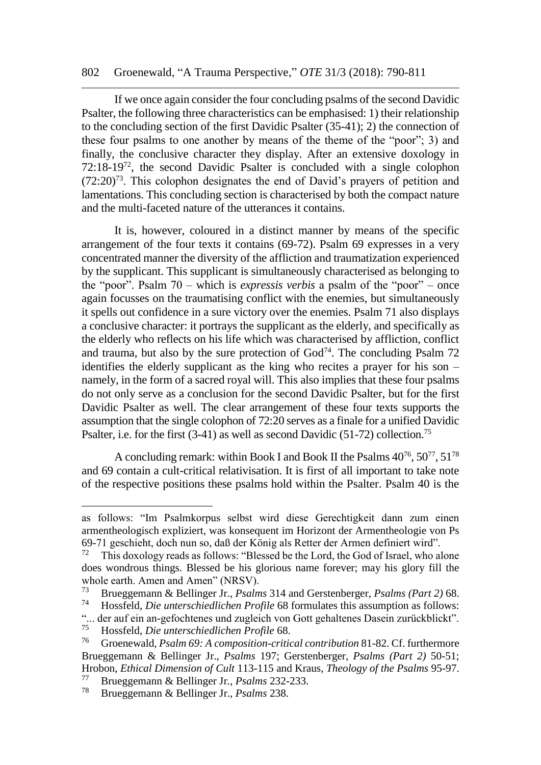#### 802 Groenewald, "A Trauma Perspective," *OTE* 31/3 (2018): 790-811

If we once again consider the four concluding psalms of the second Davidic Psalter, the following three characteristics can be emphasised: 1) their relationship to the concluding section of the first Davidic Psalter (35-41); 2) the connection of these four psalms to one another by means of the theme of the "poor"; 3) and finally, the conclusive character they display. After an extensive doxology in 72:18-19<sup>72</sup>, the second Davidic Psalter is concluded with a single colophon  $(72:20)^{73}$ . This colophon designates the end of David's prayers of petition and lamentations. This concluding section is characterised by both the compact nature and the multi-faceted nature of the utterances it contains.

It is, however, coloured in a distinct manner by means of the specific arrangement of the four texts it contains (69-72). Psalm 69 expresses in a very concentrated manner the diversity of the affliction and traumatization experienced by the supplicant. This supplicant is simultaneously characterised as belonging to the "poor". Psalm 70 – which is *expressis verbis* a psalm of the "poor" – once again focusses on the traumatising conflict with the enemies, but simultaneously it spells out confidence in a sure victory over the enemies. Psalm 71 also displays a conclusive character: it portrays the supplicant as the elderly, and specifically as the elderly who reflects on his life which was characterised by affliction, conflict and trauma, but also by the sure protection of  $God<sup>74</sup>$ . The concluding Psalm 72 identifies the elderly supplicant as the king who recites a prayer for his son – namely, in the form of a sacred royal will. This also implies that these four psalms do not only serve as a conclusion for the second Davidic Psalter, but for the first Davidic Psalter as well. The clear arrangement of these four texts supports the assumption that the single colophon of 72:20 serves as a finale for a unified Davidic Psalter, i.e. for the first (3-41) as well as second Davidic (51-72) collection.<sup>75</sup>

A concluding remark: within Book I and Book II the Psalms  $40^{76}$ ,  $50^{77}$ ,  $51^{78}$ and 69 contain a cult-critical relativisation. It is first of all important to take note of the respective positions these psalms hold within the Psalter. Psalm 40 is the

as follows: "Im Psalmkorpus selbst wird diese Gerechtigkeit dann zum einen armentheologisch expliziert, was konsequent im Horizont der Armentheologie von Ps 69-71 geschieht, doch nun so, daß der König als Retter der Armen definiert wird".

<sup>72</sup> This doxology reads as follows: "Blessed be the Lord, the God of Israel, who alone does wondrous things. Blessed be his glorious name forever; may his glory fill the whole earth. Amen and Amen" (NRSV).

<sup>73</sup> Brueggemann & Bellinger Jr., *Psalms* 314 and Gerstenberger, *Psalms (Part 2)* 68. <sup>74</sup> Hossfeld, *Die unterschiedlichen Profile* 68 formulates this assumption as follows:

<sup>&</sup>quot;... der auf ein an-gefochtenes und zugleich von Gott gehaltenes Dasein zurückblickt".<br><sup>75</sup> Hossfeld, Die unterschiedlichen Profile 68

<sup>75</sup> Hossfeld, *Die unterschiedlichen Profile* 68.

<sup>76</sup> Groenewald, *Psalm 69: A composition-critical contribution* 81-82. Cf. furthermore Brueggemann & Bellinger Jr., *Psalms* 197; Gerstenberger*, Psalms (Part 2)* 50-51; Hrobon, *Ethical Dimension of Cult* 113-115 and Kraus, *Theology of the Psalms* 95-97.

<sup>77</sup> Brueggemann & Bellinger Jr*., Psalms* 232-233.

<sup>78</sup> Brueggemann & Bellinger Jr.*, Psalms* 238.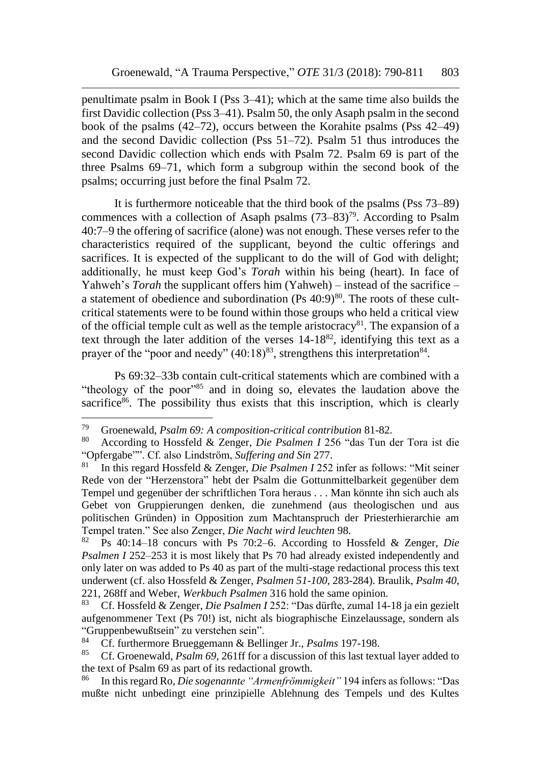penultimate psalm in Book I (Pss 3–41); which at the same time also builds the first Davidic collection (Pss 3–41). Psalm 50, the only Asaph psalm in the second book of the psalms (42–72), occurs between the Korahite psalms (Pss 42–49) and the second Davidic collection (Pss 51–72). Psalm 51 thus introduces the second Davidic collection which ends with Psalm 72. Psalm 69 is part of the three Psalms 69–71, which form a subgroup within the second book of the psalms; occurring just before the final Psalm 72.

It is furthermore noticeable that the third book of the psalms (Pss 73–89) commences with a collection of Asaph psalms  $(73-83)^{79}$ . According to Psalm 40:7–9 the offering of sacrifice (alone) was not enough. These verses refer to the characteristics required of the supplicant, beyond the cultic offerings and sacrifices. It is expected of the supplicant to do the will of God with delight; additionally, he must keep God's *Torah* within his being (heart). In face of Yahweh's *Torah* the supplicant offers him (Yahweh) – instead of the sacrifice – a statement of obedience and subordination  $(Ps 40:9)^{80}$ . The roots of these cultcritical statements were to be found within those groups who held a critical view of the official temple cult as well as the temple aristocracy<sup>81</sup>. The expansion of a text through the later addition of the verses 14-18<sup>82</sup>, identifying this text as a prayer of the "poor and needy"  $(40.18)^{83}$ , strengthens this interpretation<sup>84</sup>.

Ps 69:32–33b contain cult-critical statements which are combined with a "theology of the poor"<sup>85</sup> and in doing so, elevates the laudation above the sacrifice $86$ . The possibility thus exists that this inscription, which is clearly

<sup>79</sup> Groenewald, *Psalm 69: A composition-critical contribution* 81-82.

<sup>80</sup> According to Hossfeld & Zenger, *Die Psalmen I* 256 "das Tun der Tora ist die "Opfergabe"". Cf. also Lindström, *Suffering and Sin* 277.

<sup>81</sup> In this regard Hossfeld & Zenger, *Die Psalmen I* 252 infer as follows: "Mit seiner Rede von der "Herzenstora" hebt der Psalm die Gottunmittelbarkeit gegenüber dem Tempel und gegenüber der schriftlichen Tora heraus . . . Man könnte ihn sich auch als Gebet von Gruppierungen denken, die zunehmend (aus theologischen und aus politischen Gründen) in Opposition zum Machtanspruch der Priesterhierarchie am Tempel traten." See also Zenger, *Die Nacht wird leuchten* 98.

<sup>82</sup> Ps 40:14–18 concurs with Ps 70:2–6. According to Hossfeld & Zenger, *Die Psalmen I* 252–253 it is most likely that Ps 70 had already existed independently and only later on was added to Ps 40 as part of the multi-stage redactional process this text underwent (cf. also Hossfeld & Zenger, *Psalmen 51-100*, 283-284). Braulik, *Psalm 40*, 221, 268ff and Weber, *Werkbuch Psalmen* 316 hold the same opinion.

<sup>83</sup> Cf. Hossfeld & Zenger, *Die Psalmen I* 252: "Das dürfte, zumal 14-18 ja ein gezielt aufgenommener Text (Ps 70!) ist, nicht als biographische Einzelaussage, sondern als "Gruppenbewußtsein" zu verstehen sein".<br><sup>84</sup> Cf. furthermore Brueggemann & Bell.

<sup>84</sup> Cf. furthermore Brueggemann & Bellinger Jr., *Psalms* 197-198.<br>85 Cf. Greenevald, *Baglar 60, 261ff* for a disquasion of this last taxt

<sup>85</sup> Cf. Groenewald, *Psalm 69*, 261ff for a discussion of this last textual layer added to the text of Psalm 69 as part of its redactional growth.

<sup>86</sup> In this regard Ro, *Die sogenannte "Armenfrömmigkeit"* 194 infers as follows: "Das mußte nicht unbedingt eine prinzipielle Ablehnung des Tempels und des Kultes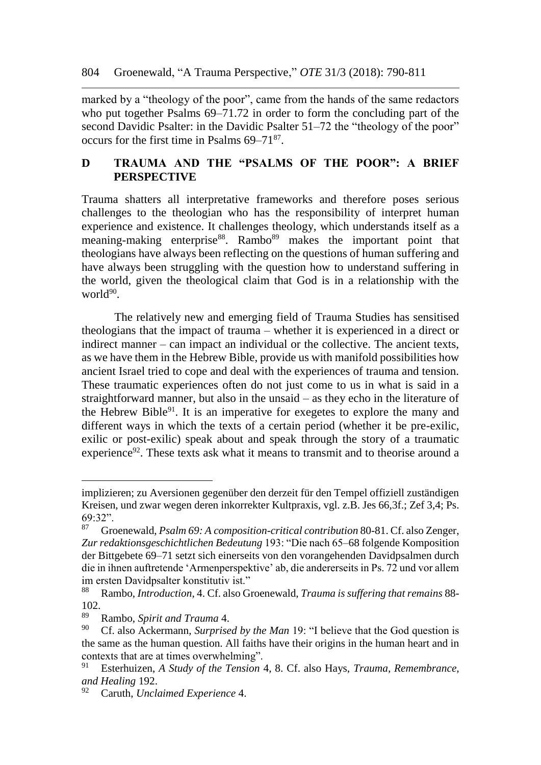marked by a "theology of the poor", came from the hands of the same redactors who put together Psalms 69–71.72 in order to form the concluding part of the second Davidic Psalter: in the Davidic Psalter 51–72 the "theology of the poor" occurs for the first time in Psalms 69–71<sup>87</sup>.

## **D TRAUMA AND THE "PSALMS OF THE POOR": A BRIEF PERSPECTIVE**

Trauma shatters all interpretative frameworks and therefore poses serious challenges to the theologian who has the responsibility of interpret human experience and existence. It challenges theology, which understands itself as a meaning-making enterprise<sup>88</sup>. Rambo<sup>89</sup> makes the important point that theologians have always been reflecting on the questions of human suffering and have always been struggling with the question how to understand suffering in the world, given the theological claim that God is in a relationship with the world<sup>90</sup>.

The relatively new and emerging field of Trauma Studies has sensitised theologians that the impact of trauma – whether it is experienced in a direct or indirect manner – can impact an individual or the collective. The ancient texts, as we have them in the Hebrew Bible, provide us with manifold possibilities how ancient Israel tried to cope and deal with the experiences of trauma and tension. These traumatic experiences often do not just come to us in what is said in a straightforward manner, but also in the unsaid – as they echo in the literature of the Hebrew Bible $91$ . It is an imperative for exegetes to explore the many and different ways in which the texts of a certain period (whether it be pre-exilic, exilic or post-exilic) speak about and speak through the story of a traumatic experience<sup>92</sup>. These texts ask what it means to transmit and to theorise around a

implizieren; zu Aversionen gegenüber den derzeit für den Tempel offiziell zuständigen Kreisen, und zwar wegen deren inkorrekter Kultpraxis, vgl. z.B. Jes 66,3f.; Zef 3,4; Ps.  $69.32"$ 

<sup>87</sup> Groenewald, *Psalm 69: A composition-critical contribution* 80-81. Cf. also Zenger, *Zur redaktionsgeschichtlichen Bedeutung* 193: "Die nach 65–68 folgende Komposition der Bittgebete 69–71 setzt sich einerseits von den vorangehenden Davidpsalmen durch die in ihnen auftretende 'Armenperspektive' ab, die andererseits in Ps. 72 und vor allem im ersten Davidpsalter konstitutiv ist."

<sup>88</sup> Rambo, *Introduction*, 4. Cf. also Groenewald, *Trauma is suffering that remains* 88- 102.

<sup>89</sup> Rambo, *Spirit and Trauma* 4.

<sup>90</sup> Cf. also Ackermann, *Surprised by the Man* 19: "I believe that the God question is the same as the human question. All faiths have their origins in the human heart and in contexts that are at times overwhelming".<br> $^{91}$  Esterbuizen, A Study of the Tension

<sup>91</sup> Esterhuizen, *A Study of the Tension* 4, 8. Cf. also Hays, *Trauma, Remembrance, and Healing* 192.

<sup>92</sup> Caruth, *Unclaimed Experience* 4.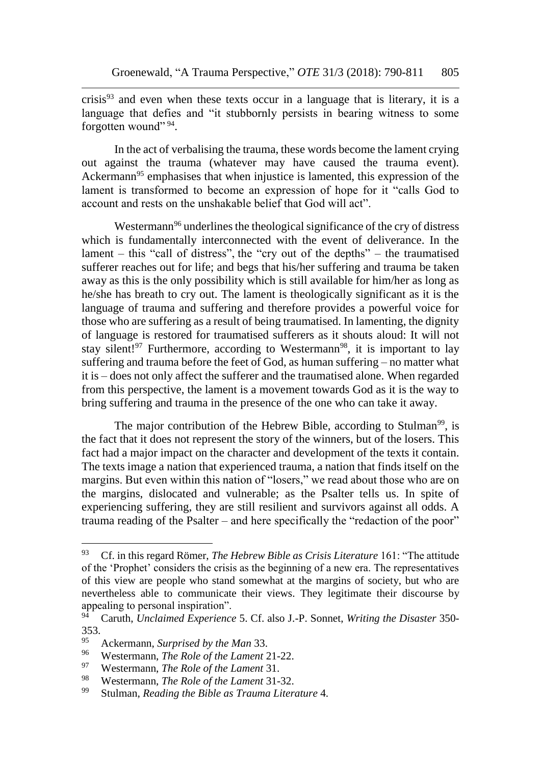crisis $93$  and even when these texts occur in a language that is literary, it is a language that defies and "it stubbornly persists in bearing witness to some forgotten wound" 94.

In the act of verbalising the trauma, these words become the lament crying out against the trauma (whatever may have caused the trauma event). Ackermann<sup>95</sup> emphasises that when injustice is lamented, this expression of the lament is transformed to become an expression of hope for it "calls God to account and rests on the unshakable belief that God will act".

Westermann<sup>96</sup> underlines the theological significance of the cry of distress which is fundamentally interconnected with the event of deliverance. In the lament – this "call of distress", the "cry out of the depths" – the traumatised sufferer reaches out for life; and begs that his/her suffering and trauma be taken away as this is the only possibility which is still available for him/her as long as he/she has breath to cry out. The lament is theologically significant as it is the language of trauma and suffering and therefore provides a powerful voice for those who are suffering as a result of being traumatised. In lamenting, the dignity of language is restored for traumatised sufferers as it shouts aloud: It will not stay silent!<sup>97</sup> Furthermore, according to Westermann<sup>98</sup>, it is important to lay suffering and trauma before the feet of God, as human suffering – no matter what it is – does not only affect the sufferer and the traumatised alone. When regarded from this perspective, the lament is a movement towards God as it is the way to bring suffering and trauma in the presence of the one who can take it away.

The major contribution of the Hebrew Bible, according to Stulman<sup>99</sup>, is the fact that it does not represent the story of the winners, but of the losers. This fact had a major impact on the character and development of the texts it contain. The texts image a nation that experienced trauma, a nation that finds itself on the margins. But even within this nation of "losers," we read about those who are on the margins, dislocated and vulnerable; as the Psalter tells us. In spite of experiencing suffering, they are still resilient and survivors against all odds. A trauma reading of the Psalter – and here specifically the "redaction of the poor"

<sup>93</sup> Cf. in this regard Römer, *The Hebrew Bible as Crisis Literature* 161: "The attitude of the 'Prophet' considers the crisis as the beginning of a new era. The representatives of this view are people who stand somewhat at the margins of society, but who are nevertheless able to communicate their views. They legitimate their discourse by appealing to personal inspiration".<br><sup>94</sup> Caruth *Unclaimed Experience* 

<sup>94</sup> Caruth, *Unclaimed Experience* 5. Cf. also J.-P. Sonnet, *Writing the Disaster* 350- 353.

<sup>95</sup> Ackermann, *Surprised by the Man* 33.

<sup>96</sup> Westermann, *The Role of the Lament* 21-22.

<sup>97</sup> Westermann, *The Role of the Lament* 31.

<sup>98</sup> Westermann, *The Role of the Lament* 31-32.

<sup>99</sup> Stulman, *Reading the Bible as Trauma Literature* 4.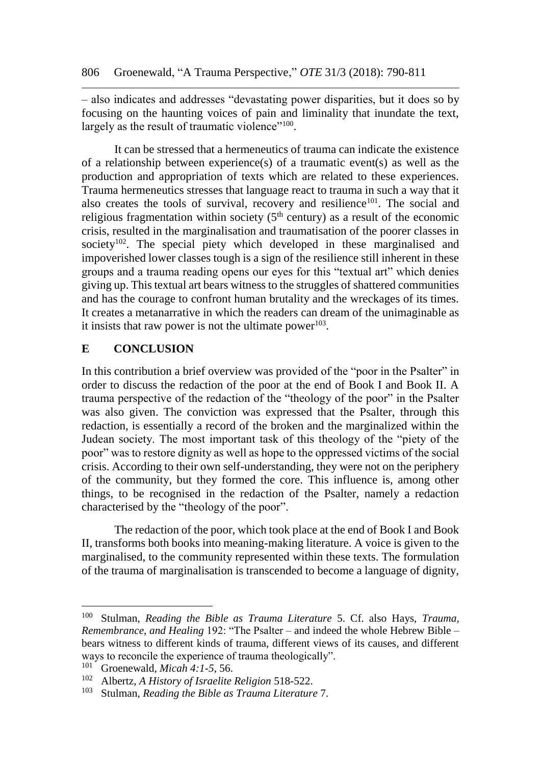– also indicates and addresses "devastating power disparities, but it does so by focusing on the haunting voices of pain and liminality that inundate the text, largely as the result of traumatic violence"<sup>100</sup>.

It can be stressed that a hermeneutics of trauma can indicate the existence of a relationship between experience(s) of a traumatic event(s) as well as the production and appropriation of texts which are related to these experiences. Trauma hermeneutics stresses that language react to trauma in such a way that it also creates the tools of survival, recovery and resilience<sup>101</sup>. The social and religious fragmentation within society ( $5<sup>th</sup>$  century) as a result of the economic crisis, resulted in the marginalisation and traumatisation of the poorer classes in society<sup>102</sup>. The special piety which developed in these marginalised and impoverished lower classes tough is a sign of the resilience still inherent in these groups and a trauma reading opens our eyes for this "textual art" which denies giving up. This textual art bears witness to the struggles of shattered communities and has the courage to confront human brutality and the wreckages of its times. It creates a metanarrative in which the readers can dream of the unimaginable as it insists that raw power is not the ultimate power $103$ .

## **E CONCLUSION**

In this contribution a brief overview was provided of the "poor in the Psalter" in order to discuss the redaction of the poor at the end of Book I and Book II. A trauma perspective of the redaction of the "theology of the poor" in the Psalter was also given. The conviction was expressed that the Psalter, through this redaction, is essentially a record of the broken and the marginalized within the Judean society. The most important task of this theology of the "piety of the poor" was to restore dignity as well as hope to the oppressed victims of the social crisis. According to their own self-understanding, they were not on the periphery of the community, but they formed the core. This influence is, among other things, to be recognised in the redaction of the Psalter, namely a redaction characterised by the "theology of the poor".

The redaction of the poor, which took place at the end of Book I and Book II, transforms both books into meaning-making literature. A voice is given to the marginalised, to the community represented within these texts. The formulation of the trauma of marginalisation is transcended to become a language of dignity,

<sup>100</sup> Stulman, *Reading the Bible as Trauma Literature* 5. Cf. also Hays, *Trauma, Remembrance, and Healing* 192: "The Psalter – and indeed the whole Hebrew Bible – bears witness to different kinds of trauma, different views of its causes, and different ways to reconcile the experience of trauma theologically".<br> $^{101}$  Groenoweld Miach 4:1.5.56

<sup>&</sup>lt;sup>101</sup> Groenewald, *Micah 4:1-5*, 56.<br><sup>102</sup> Albertz, A History of Israelite.

<sup>102</sup> Albertz, *A History of Israelite Religion* 518-522.

<sup>103</sup> Stulman, *Reading the Bible as Trauma Literature* 7.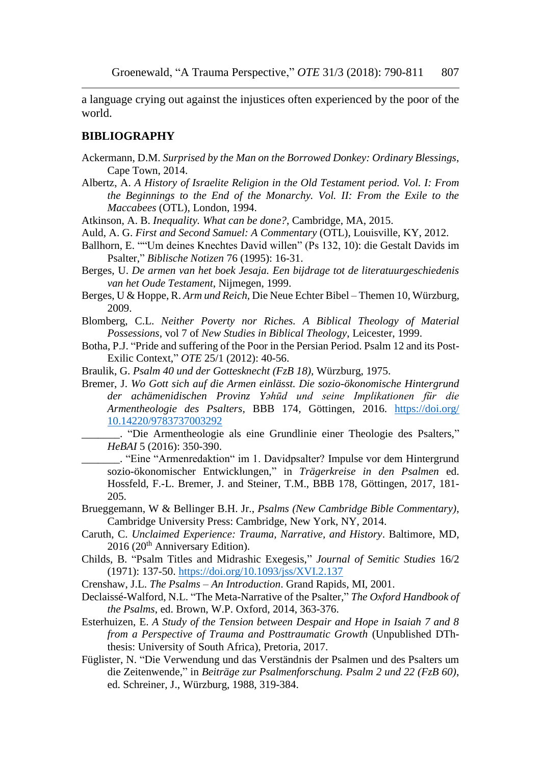a language crying out against the injustices often experienced by the poor of the world.

#### **BIBLIOGRAPHY**

- Ackermann, D.M. *Surprised by the Man on the Borrowed Donkey: Ordinary Blessings*, Cape Town, 2014.
- Albertz, A. *A History of Israelite Religion in the Old Testament period. Vol. I: From the Beginnings to the End of the Monarchy. Vol. II: From the Exile to the Maccabees* (OTL), London, 1994.
- Atkinson, A. B. *Inequality. What can be done?*, Cambridge, MA, 2015.
- Auld, A. G. *First and Second Samuel: A Commentary* (OTL), Louisville, KY, 2012.
- Ballhorn, E. ""Um deines Knechtes David willen" (Ps 132, 10): die Gestalt Davids im Psalter," *Biblische Notizen* 76 (1995): 16-31.
- Berges, U. *De armen van het boek Jesaja. Een bijdrage tot de literatuurgeschiedenis van het Oude Testament*, Nijmegen, 1999.
- Berges, U & Hoppe, R. *Arm und Reich,* Die Neue Echter Bibel Themen 10*,* Würzburg, 2009.
- Blomberg, C.L. *Neither Poverty nor Riches. A Biblical Theology of Material Possessions,* vol 7 of *New Studies in Biblical Theology*, Leicester, 1999.
- Botha, P.J. "Pride and suffering of the Poor in the Persian Period. Psalm 12 and its Post-Exilic Context," *OTE* 25/1 (2012): 40-56.
- Braulik, G. *Psalm 40 und der Gottesknecht (FzB 18)*, Würzburg, 1975.
- Bremer, J. *Wo Gott sich auf die Armen einlässt. Die sozio-ökonomische Hintergrund der achämenidischen Provinz Yəhūd und seine Implikationen für die Armentheologie des Psalters,* BBB 174*,* Göttingen, 2016. [https://doi.org/](https://doi.org/%2010.14220/9783737003292)  [10.14220/9783737003292](https://doi.org/%2010.14220/9783737003292)
	- \_\_\_\_\_\_\_. "Die Armentheologie als eine Grundlinie einer Theologie des Psalters," *HeBAI* 5 (2016): 350-390.
	- \_\_\_\_\_\_\_. "Eine "Armenredaktion" im 1. Davidpsalter? Impulse vor dem Hintergrund sozio-ökonomischer Entwicklungen," in *Trägerkreise in den Psalmen* ed. Hossfeld, F.-L. Bremer, J. and Steiner, T.M., BBB 178, Göttingen, 2017, 181- 205.
- Brueggemann, W & Bellinger B.H. Jr., *Psalms (New Cambridge Bible Commentary)*, Cambridge University Press: Cambridge, New York, NY, 2014.
- Caruth, C. *Unclaimed Experience: Trauma, Narrative, and History*. Baltimore, MD, 2016 (20<sup>th</sup> Anniversary Edition).
- Childs, B. "Psalm Titles and Midrashic Exegesis," *Journal of Semitic Studies* 16/2 (1971): 137-50. <https://doi.org/10.1093/jss/XVI.2.137>
- Crenshaw, J.L. *The Psalms – An Introduction*. Grand Rapids, MI, 2001.
- Declaissé-Walford, N.L. "The Meta-Narrative of the Psalter," *The Oxford Handbook of the Psalms*, ed. Brown, W.P. Oxford, 2014, 363-376.
- Esterhuizen, E. *A Study of the Tension between Despair and Hope in Isaiah 7 and 8 from a Perspective of Trauma and Posttraumatic Growth* (Unpublished DThthesis: University of South Africa), Pretoria, 2017.
- Füglister, N. "Die Verwendung und das Verständnis der Psalmen und des Psalters um die Zeitenwende," in *Beiträge zur Psalmenforschung. Psalm 2 und 22 (FzB 60)*, ed. Schreiner, J., Würzburg, 1988, 319-384.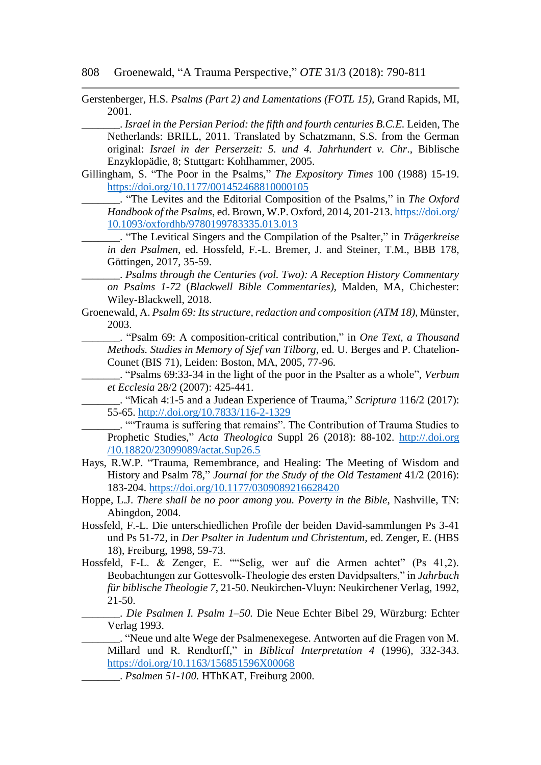Gerstenberger, H.S. *Psalms (Part 2) and Lamentations (FOTL 15),* Grand Rapids, MI, 2001.

\_\_\_\_\_\_\_. *Israel in the Persian Period: the fifth and fourth centuries B.C.E.* Leiden, The Netherlands: BRILL, 2011. Translated by Schatzmann, S.S. from the German original: *Israel in der Perserzeit: 5. und 4. Jahrhundert v. Chr*., Biblische Enzyklopädie, 8; Stuttgart: Kohlhammer, 2005.

Gillingham, S. "The Poor in the Psalms," *The Expository Times* 100 (1988) 15-19. <https://doi.org/10.1177/001452468810000105>

\_\_\_\_\_\_\_. "The Levites and the Editorial Composition of the Psalms," in *The Oxford Handbook of the Psalms*, ed. Brown, W.P. Oxford, 2014, 201-213. [https://doi.org/](https://doi.org/%2010.1093/oxfordhb/9780199783335.013.013)  [10.1093/oxfordhb/9780199783335.013.013](https://doi.org/%2010.1093/oxfordhb/9780199783335.013.013)

\_\_\_\_\_\_\_. "The Levitical Singers and the Compilation of the Psalter," in *Trägerkreise in den Psalmen*, ed. Hossfeld, F.-L. Bremer, J. and Steiner, T.M., BBB 178, Göttingen, 2017, 35-59.

\_\_\_\_\_\_\_. *Psalms through the Centuries (vol. Two): A Reception History Commentary on Psalms 1-72* (*Blackwell Bible Commentaries)*, Malden, MA, Chichester: Wiley-Blackwell, 2018.

Groenewald, A. *Psalm 69: Its structure, redaction and composition (ATM 18),* Münster, 2003.

\_\_\_\_\_\_\_. "Psalm 69: A composition-critical contribution," in *One Text, a Thousand Methods. Studies in Memory of Sjef van Tilborg,* ed. U. Berges and P. Chatelion-Counet (BIS 71), Leiden: Boston, MA, 2005, 77-96*.*

\_\_\_\_\_\_\_. "Psalms 69:33-34 in the light of the poor in the Psalter as a whole", *Verbum et Ecclesia* 28/2 (2007): 425-441.

\_\_\_\_\_\_\_. "Micah 4:1-5 and a Judean Experience of Trauma," *Scriptura* 116/2 (2017): 55-65.<http://.doi.org/10.7833/116-2-1329>

\_\_\_\_\_\_\_. ""Trauma is suffering that remains". The Contribution of Trauma Studies to Prophetic Studies," *Acta Theologica* Suppl 26 (2018): 88-102. http://.doi.org /10.18820/23099089/actat.Sup26.5

- Hays, R.W.P. "Trauma, Remembrance, and Healing: The Meeting of Wisdom and History and Psalm 78," *Journal for the Study of the Old Testament* 41/2 (2016): 183-204. <https://doi.org/10.1177/0309089216628420>
- Hoppe, L.J. *There shall be no poor among you. Poverty in the Bible*, Nashville, TN: Abingdon, 2004.
- Hossfeld, F.-L. Die unterschiedlichen Profile der beiden David-sammlungen Ps 3-41 und Ps 51-72, in *Der Psalter in Judentum und Christentum,* ed. Zenger, E. (HBS 18), Freiburg, 1998, 59-73.
- Hossfeld, F-L. & Zenger, E. ""Selig, wer auf die Armen achtet" (Ps 41,2). Beobachtungen zur Gottesvolk-Theologie des ersten Davidpsalters," in *Jahrbuch für biblische Theologie 7*, 21-50. Neukirchen-Vluyn: Neukirchener Verlag, 1992, 21-50.

\_\_\_\_\_\_\_. *Die Psalmen I. Psalm 1–50.* Die Neue Echter Bibel 29, Würzburg: Echter Verlag 1993.

\_\_\_\_\_\_\_. "Neue und alte Wege der Psalmenexegese. Antworten auf die Fragen von M. Millard und R. Rendtorff," in *Biblical Interpretation 4* (1996), 332-343. <https://doi.org/10.1163/156851596X00068>

\_\_\_\_\_\_\_. *Psalmen 51-100.* HThKAT, Freiburg 2000.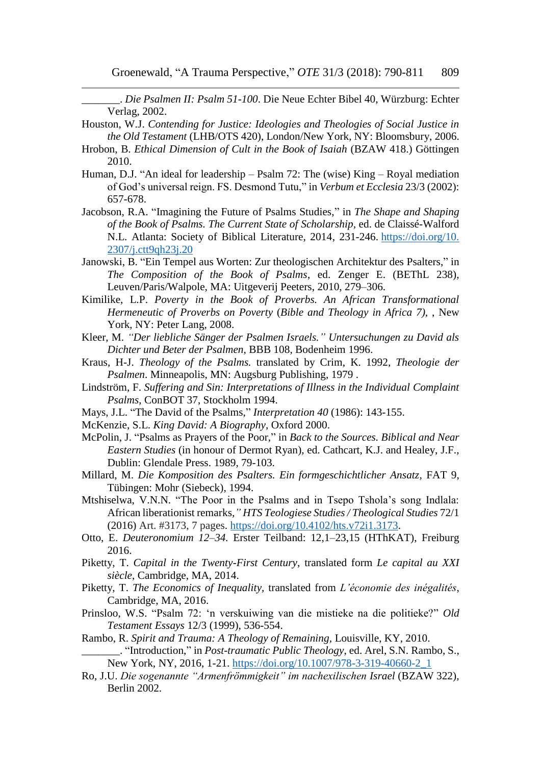\_\_\_\_\_\_\_. *Die Psalmen II: Psalm 51-100*. Die Neue Echter Bibel 40, Würzburg: Echter Verlag, 2002.

- Houston, W.J. *Contending for Justice: Ideologies and Theologies of Social Justice in the Old Testament* (LHB/OTS 420), London/New York, NY: Bloomsbury, 2006.
- Hrobon, B. *Ethical Dimension of Cult in the Book of Isaiah* (BZAW 418.) Göttingen 2010.
- Human, D.J. "An ideal for leadership Psalm 72: The (wise) King Royal mediation of God's universal reign. FS. Desmond Tutu," in *Verbum et Ecclesia* 23/3 (2002): 657-678.
- Jacobson, R.A. "Imagining the Future of Psalms Studies," in *The Shape and Shaping of the Book of Psalms. The Current State of Scholarship,* ed. de Claissé-Walford N.L. Atlanta: Society of Biblical Literature, 2014, 231-246. [https://doi.org/10.](https://doi.org/10.%202307/j.ctt9qh23j.20)  [2307/j.ctt9qh23j.20](https://doi.org/10.%202307/j.ctt9qh23j.20)
- Janowski, B. "Ein Tempel aus Worten: Zur theologischen Architektur des Psalters," in *The Composition of the Book of Psalms*, ed. Zenger E. (BEThL 238), Leuven/Paris/Walpole, MA: Uitgeverij Peeters, 2010, 279–306.
- Kimilike, L.P. *Poverty in the Book of Proverbs. An African Transformational Hermeneutic of Proverbs on Poverty* (*Bible and Theology in Africa 7),* , New York, NY: Peter Lang, 2008.
- Kleer, M. *"Der liebliche Sänger der Psalmen Israels." Untersuchungen zu David als Dichter und Beter der Psalmen,* BBB 108, Bodenheim 1996.
- Kraus, H-J. *Theology of the Psalms.* translated by Crim, K. 1992, *Theologie der Psalmen*. Minneapolis, MN: Augsburg Publishing, 1979 .
- Lindström, F. *Suffering and Sin: Interpretations of Illness in the Individual Complaint Psalms*, ConBOT 37, Stockholm 1994.
- Mays, J.L. "The David of the Psalms," *Interpretation 40* (1986): 143-155.
- McKenzie, S.L. *King David: A Biography*, Oxford 2000.
- McPolin, J. "Psalms as Prayers of the Poor," in *Back to the Sources. Biblical and Near Eastern Studies* (in honour of Dermot Ryan), ed. Cathcart, K.J. and Healey, J.F., Dublin: Glendale Press. 1989, 79-103.
- Millard, M. *Die Komposition des Psalters. Ein formgeschichtlicher Ansatz,* FAT 9, Tübingen: Mohr (Siebeck), 1994.
- Mtshiselwa, V.N.N. "The Poor in the Psalms and in Tsepo Tshola's song Indlala: African liberationist remarks*," HTS Teologiese Studies / Theological Studies* 72/1 (2016) Art. #3173, 7 pages. [https://doi.org/10.4102/hts.v72i1.3173.](https://doi.org/10.4102/hts.v72i1.3173)
- Otto, E. *Deuteronomium 12–34.* Erster Teilband: 12,1–23,15 (HThKAT), Freiburg 2016.
- Piketty, T. *Capital in the Twenty-First Century*, translated form *Le capital au XXI siècle*, Cambridge, MA, 2014.
- Piketty, T. *The Economics of Inequality,* translated from *L'économie des inégalités*, Cambridge, MA, 2016.
- Prinsloo, W.S. "Psalm 72: 'n verskuiwing van die mistieke na die politieke?" *Old Testament Essays* 12/3 (1999), 536-554.

Rambo, R. *Spirit and Trauma: A Theology of Remaining,* Louisville, KY, 2010. \_\_\_\_\_\_\_. "Introduction," in *Post-traumatic Public Theology*, ed. Arel, S.N. Rambo, S., New York, NY, 2016, 1-21. [https://doi.org/10.1007/978-3-319-40660-2\\_1](https://doi.org/10.1007/978-3-319-40660-2_1)

Ro, J.U. *Die sogenannte "Armenfrömmigkeit" im nachexilischen Israel* (BZAW 322), Berlin 2002.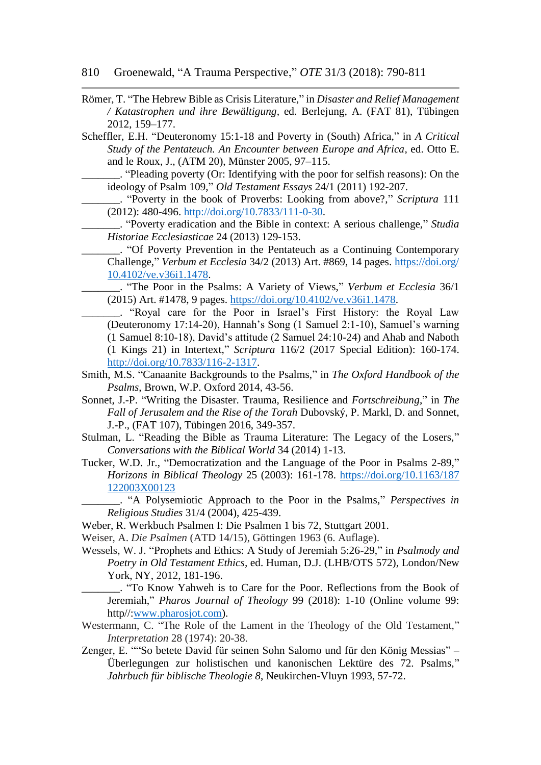- 810 Groenewald, "A Trauma Perspective," *OTE* 31/3 (2018): 790-811
- Römer, T. "The Hebrew Bible as Crisis Literature," in *Disaster and Relief Management / Katastrophen und ihre Bewältigung,* ed. Berlejung, A. (FAT 81), Tübingen 2012, 159–177.
- Scheffler, E.H. "Deuteronomy 15:1-18 and Poverty in (South) Africa," in *A Critical Study of the Pentateuch. An Encounter between Europe and Africa,* ed. Otto E. and le Roux, J., (ATM 20), Münster 2005, 97–115.
- \_\_\_\_\_\_\_. "Pleading poverty (Or: Identifying with the poor for selfish reasons): On the ideology of Psalm 109," *Old Testament Essays* 24/1 (2011) 192-207.
	- \_\_\_\_\_\_\_. "Poverty in the book of Proverbs: Looking from above?," *Scriptura* 111 (2012): 480-496. [http://doi.org/10.7833/111-0-30.](http://doi.org/10.7833/111-0-30)
	- \_\_\_\_\_\_\_. "Poverty eradication and the Bible in context: A serious challenge," *Studia Historiae Ecclesiasticae* 24 (2013) 129-153.
	- \_\_\_\_\_\_\_. "Of Poverty Prevention in the Pentateuch as a Continuing Contemporary Challenge," *Verbum et Ecclesia* 34/2 (2013) Art. #869, 14 pages. [https://doi.org/](https://doi.org/%2010.4102/ve.v36i1.1478)  [10.4102/ve.v36i1.1478.](https://doi.org/%2010.4102/ve.v36i1.1478)
	- \_\_\_\_\_\_\_. "The Poor in the Psalms: A Variety of Views," *Verbum et Ecclesia* 36/1 (2015) Art. #1478, 9 pages. [https://doi.org/10.4102/ve.v36i1.1478.](https://doi.org/10.4102/ve.v36i1.1478)
	- \_\_\_\_\_\_\_. "Royal care for the Poor in Israel's First History: the Royal Law (Deuteronomy 17:14-20), Hannah's Song (1 Samuel 2:1-10), Samuel's warning (1 Samuel 8:10-18), David's attitude (2 Samuel 24:10-24) and Ahab and Naboth (1 Kings 21) in Intertext," *Scriptura* 116/2 (2017 Special Edition): 160-174. [http://doi.org/10.7833/116-2-1317.](http://doi.org/10.7833/116-2-1317)
- Smith, M.S. "Canaanite Backgrounds to the Psalms," in *The Oxford Handbook of the Psalms*, Brown, W.P. Oxford 2014, 43-56.
- Sonnet, J.-P. "Writing the Disaster. Trauma, Resilience and *Fortschreibung*," in *The Fall of Jerusalem and the Rise of the Torah* Dubovský, P. Markl, D. and Sonnet, J.-P., (FAT 107), Tübingen 2016, 349-357.
- Stulman, L. "Reading the Bible as Trauma Literature: The Legacy of the Losers," *Conversations with the Biblical World* 34 (2014) 1-13.
- Tucker, W.D. Jr., "Democratization and the Language of the Poor in Psalms 2-89," *Horizons in Biblical Theology* 25 (2003): 161-178. [https://doi.org/10.1163/187](https://doi.org/10.1163/187%20122003X00123)  [122003X00123](https://doi.org/10.1163/187%20122003X00123)
	- \_\_\_\_\_\_\_. "A Polysemiotic Approach to the Poor in the Psalms," *Perspectives in Religious Studies* 31/4 (2004), 425-439.
- Weber, R. Werkbuch Psalmen I: Die Psalmen 1 bis 72, Stuttgart 2001.
- Weiser, A. *Die Psalmen* (ATD 14/15), Göttingen 1963 (6. Auflage).
- Wessels, W. J. "Prophets and Ethics: A Study of Jeremiah 5:26-29," in *Psalmody and Poetry in Old Testament Ethics,* ed. Human, D.J. (LHB/OTS 572), London/New York, NY, 2012, 181-196.
	- \_\_\_\_\_\_\_. "To Know Yahweh is to Care for the Poor. Reflections from the Book of Jeremiah," *Pharos Journal of Theology* 99 (2018): 1-10 (Online volume 99: http//[:www.pharosjot.com\)](http://www.pharosjot.com/).
- Westermann, C. "The Role of the Lament in the Theology of the Old Testament," *Interpretation* 28 (1974): 20-38.
- Zenger, E. ""So betete David für seinen Sohn Salomo und für den König Messias" Überlegungen zur holistischen und kanonischen Lektüre des 72. Psalms," *Jahrbuch für biblische Theologie 8*, Neukirchen-Vluyn 1993, 57-72.